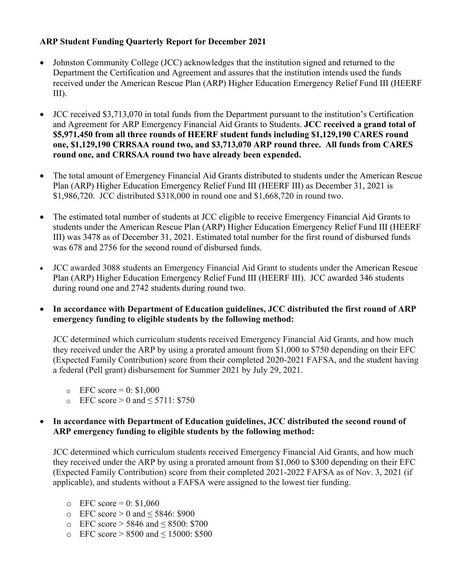## **ARP Student Funding Quarterly Report for December 2021**

- Johnston Community College (JCC) acknowledges that the institution signed and returned to the Department the Certification and Agreement and assures that the institution intends used the funds received under the American Rescue Plan (ARP) Higher Education Emergency Relief Fund III (HEERF III).
- JCC received \$3,713,070 in total funds from the Department pursuant to the institution's Certification and Agreement for ARP Emergency Financial Aid Grants to Students. **JCC received a grand total of \$5,971,450 from all three rounds of HEERF student funds including \$1,129,190 CARES round one, \$1,129,190 CRRSAA round two, and \$3,713,070 ARP round three. All funds from CARES round one, and CRRSAA round two have already been expended.**
- The total amount of Emergency Financial Aid Grants distributed to students under the American Rescue Plan (ARP) Higher Education Emergency Relief Fund III (HEERF III) as December 31, 2021 is \$1,986,720. JCC distributed \$318,000 in round one and \$1,668,720 in round two.
- The estimated total number of students at JCC eligible to receive Emergency Financial Aid Grants to students under the American Rescue Plan (ARP) Higher Education Emergency Relief Fund III (HEERF III) was 3478 as of December 31, 2021. Estimated total number for the first round of disbursed funds was 678 and 2756 for the second round of disbursed funds.
- JCC awarded 3088 students an Emergency Financial Aid Grant to students under the American Rescue Plan (ARP) Higher Education Emergency Relief Fund III (HEERF III). JCC awarded 346 students during round one and 2742 students during round two.
- **In accordance with Department of Education guidelines, JCC distributed the first round of ARP emergency funding to eligible students by the following method:**

JCC determined which curriculum students received Emergency Financial Aid Grants, and how much they received under the ARP by using a prorated amount from \$1,000 to \$750 depending on their EFC (Expected Family Contribution) score from their completed 2020-2021 FAFSA, and the student having a federal (Pell grant) disbursement for Summer 2021 by July 29, 2021.

- $\epsilon$  EFC score = 0: \$1,000
- o EFC score > 0 and  $\leq$  5711: \$750

## **In accordance with Department of Education guidelines, JCC distributed the second round of ARP emergency funding to eligible students by the following method:**

JCC determined which curriculum students received Emergency Financial Aid Grants, and how much they received under the ARP by using a prorated amount from \$1,060 to \$300 depending on their EFC (Expected Family Contribution) score from their completed 2021-2022 FAFSA as of Nov. 3, 2021 (if applicable), and students without a FAFSA were assigned to the lowest tier funding.

- $C$  EFC score = 0: \$1,060
- o EFC score  $> 0$  and  $\leq$  5846: \$900
- o EFC score > 5846 and ≤ 8500: \$700
- o EFC score > 8500 and ≤ 15000: \$500